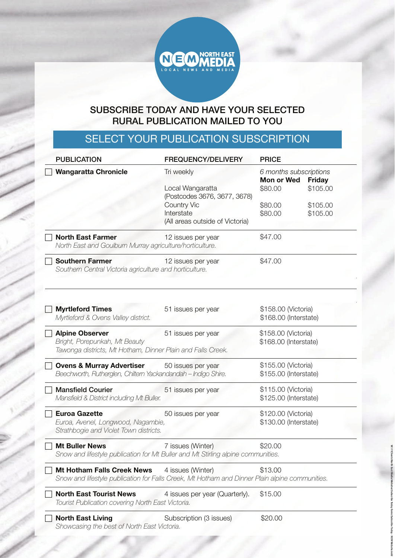

## SUBSCRIBE TODAY AND HAVE YOUR SELECTED RURAL PUBLICATION MAILED TO YOU

## SELECT YOUR PUBLICATION SUBSCRIPTION

| <b>PUBLICATION</b>                                                                             | <b>FREQUENCY/DELIVERY</b>                   | <b>PRICE</b>                         |               |
|------------------------------------------------------------------------------------------------|---------------------------------------------|--------------------------------------|---------------|
| <b>Wangaratta Chronicle</b>                                                                    | Tri weekly                                  | 6 months subscriptions<br>Mon or Wed | <b>Friday</b> |
|                                                                                                | Local Wangaratta                            | \$80.00                              | \$105.00      |
|                                                                                                | (Postcodes 3676, 3677, 3678)<br>Country Vic | \$80.00                              | \$105.00      |
|                                                                                                | Interstate                                  | \$80.00                              | \$105.00      |
|                                                                                                | (All areas outside of Victoria)             |                                      |               |
| <b>North East Farmer</b><br>North East and Goulburn Murray agriculture/horticulture.           | 12 issues per year                          | \$47.00                              |               |
| <b>Southern Farmer</b><br>Southern Central Victoria agriculture and horticulture.              | 12 issues per year                          | \$47.00                              |               |
| <b>Myrtleford Times</b>                                                                        | 51 issues per year                          | \$158.00 (Victoria)                  |               |
| Myrtleford & Ovens Valley district.                                                            |                                             | \$168.00 (Interstate)                |               |
| <b>Alpine Observer</b>                                                                         | 51 issues per year                          | \$158.00 (Victoria)                  |               |
| Bright, Porepunkah, Mt Beauty<br>Tawonga districts, Mt Hotham, Dinner Plain and Falls Creek.   |                                             | \$168.00 (Interstate)                |               |
| <b>Ovens &amp; Murray Advertiser</b>                                                           | 50 issues per year                          | \$155.00 (Victoria)                  |               |
| Beechworth, Rutherglen, Chiltern Yackandandah - Indigo Shire.                                  |                                             | \$155.00 (Interstate)                |               |
| <b>Mansfield Courier</b>                                                                       | 51 issues per year                          | \$115.00 (Victoria)                  |               |
| Mansfield & District including Mt Buller.                                                      |                                             | \$125.00 (Interstate)                |               |
| <b>Euroa Gazette</b>                                                                           | 50 issues per year                          | \$120.00 (Victoria)                  |               |
| Euroa, Avenel, Longwood, Nagambie,                                                             |                                             | \$130.00 (Interstate)                |               |
| Strathbogie and Violet Town districts.                                                         |                                             |                                      |               |
| <b>Mt Buller News</b>                                                                          | 7 issues (Winter)                           | \$20.00                              |               |
| Snow and lifestyle publication for Mt Buller and Mt Stirling alpine communities.               |                                             |                                      |               |
| <b>Mt Hotham Falls Creek News</b>                                                              | 4 issues (Winter)                           | \$13.00                              |               |
| Snow and lifestyle publication for Falls Creek, Mt Hotham and Dinner Plain alpine communities. |                                             |                                      |               |
| <b>North East Tourist News</b><br>Tourist Publication covering North East Victoria.            | 4 issues per year (Quarterly).              | \$15.00                              |               |
| <b>North East Living</b><br>Showcasing the best of North East Victoria.                        | Subscription (3 issues)                     | \$20.00                              |               |

**W:\11Clients\North East Media\Websites\Subscribe Today forms\Subscribe Today - NEM Website.indd**